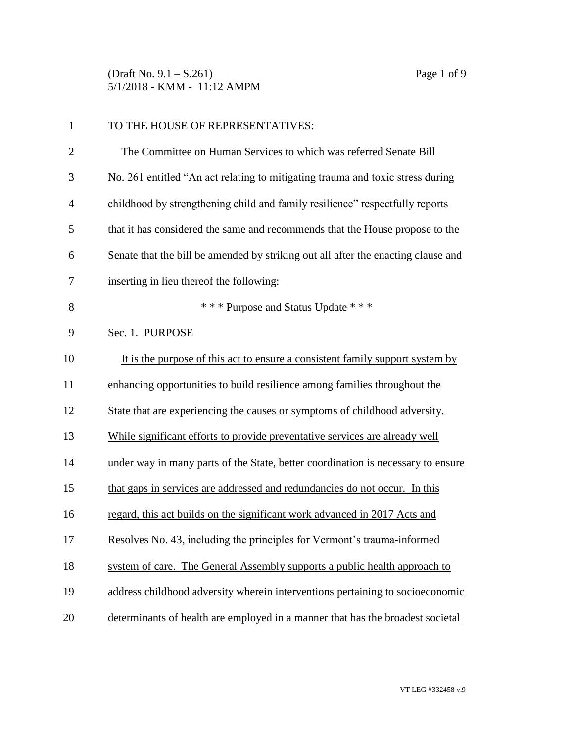(Draft No. 9.1 – S.261) Page 1 of 9 5/1/2018 - KMM - 11:12 AMPM

| $\mathbf{1}$   | TO THE HOUSE OF REPRESENTATIVES:                                                  |
|----------------|-----------------------------------------------------------------------------------|
| $\overline{2}$ | The Committee on Human Services to which was referred Senate Bill                 |
| 3              | No. 261 entitled "An act relating to mitigating trauma and toxic stress during    |
| $\overline{4}$ | childhood by strengthening child and family resilience" respectfully reports      |
| 5              | that it has considered the same and recommends that the House propose to the      |
| 6              | Senate that the bill be amended by striking out all after the enacting clause and |
| 7              | inserting in lieu thereof the following:                                          |
| 8              | *** Purpose and Status Update ***                                                 |
| 9              | Sec. 1. PURPOSE                                                                   |
| 10             | It is the purpose of this act to ensure a consistent family support system by     |
| 11             | enhancing opportunities to build resilience among families throughout the         |
| 12             | State that are experiencing the causes or symptoms of childhood adversity.        |
| 13             | While significant efforts to provide preventative services are already well       |
| 14             | under way in many parts of the State, better coordination is necessary to ensure  |
| 15             | that gaps in services are addressed and redundancies do not occur. In this        |
| 16             | regard, this act builds on the significant work advanced in 2017 Acts and         |
| 17             | Resolves No. 43, including the principles for Vermont's trauma-informed           |
| 18             | system of care. The General Assembly supports a public health approach to         |
| 19             | address childhood adversity wherein interventions pertaining to socioeconomic     |
| 20             | determinants of health are employed in a manner that has the broadest societal    |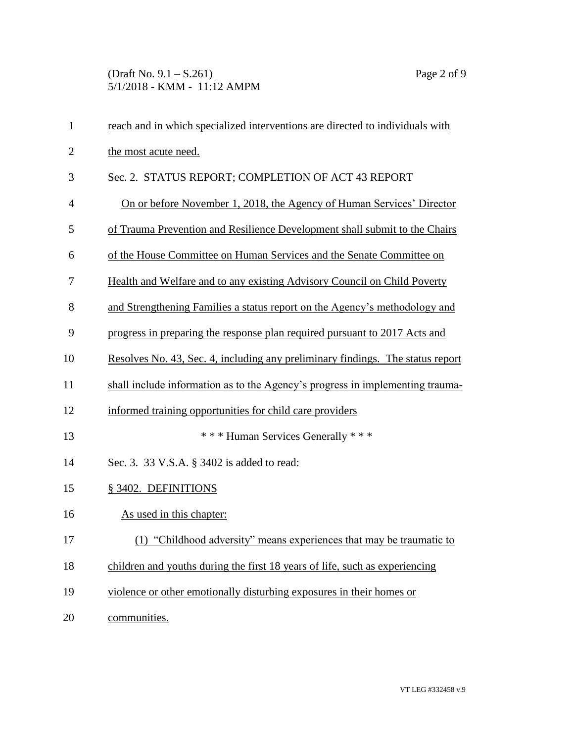(Draft No. 9.1 – S.261) Page 2 of 9 5/1/2018 - KMM - 11:12 AMPM

| $\mathbf{1}$   | reach and in which specialized interventions are directed to individuals with  |
|----------------|--------------------------------------------------------------------------------|
| $\overline{c}$ | the most acute need.                                                           |
| 3              | Sec. 2. STATUS REPORT; COMPLETION OF ACT 43 REPORT                             |
| $\overline{4}$ | On or before November 1, 2018, the Agency of Human Services' Director          |
| 5              | of Trauma Prevention and Resilience Development shall submit to the Chairs     |
| 6              | of the House Committee on Human Services and the Senate Committee on           |
| 7              | Health and Welfare and to any existing Advisory Council on Child Poverty       |
| 8              | and Strengthening Families a status report on the Agency's methodology and     |
| 9              | progress in preparing the response plan required pursuant to 2017 Acts and     |
| 10             | Resolves No. 43, Sec. 4, including any preliminary findings. The status report |
| 11             | shall include information as to the Agency's progress in implementing trauma-  |
| 12             | informed training opportunities for child care providers                       |
| 13             | *** Human Services Generally ***                                               |
| 14             | Sec. 3. 33 V.S.A. § 3402 is added to read:                                     |
| 15             | § 3402. DEFINITIONS                                                            |
| 16             | As used in this chapter:                                                       |
| 17             | (1) "Childhood adversity" means experiences that may be traumatic to           |
| 18             | children and youths during the first 18 years of life, such as experiencing    |
| 19             | violence or other emotionally disturbing exposures in their homes or           |
| 20             | communities.                                                                   |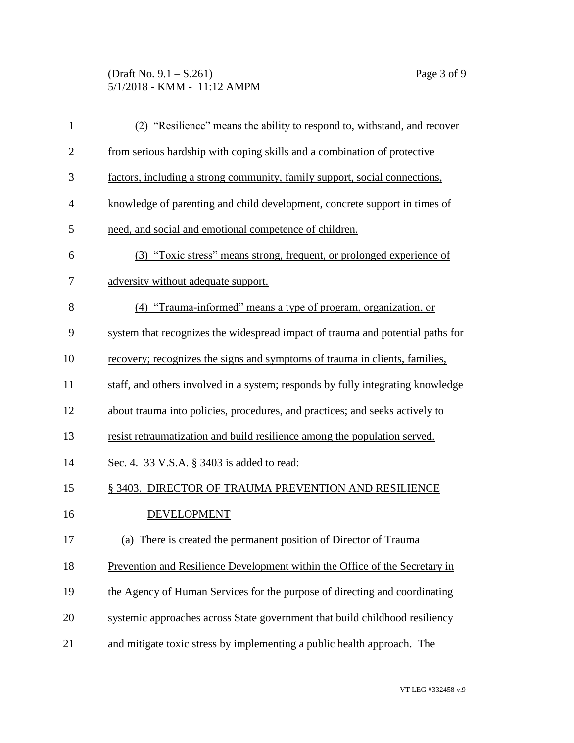(Draft No. 9.1 – S.261) Page 3 of 9 5/1/2018 - KMM - 11:12 AMPM

| $\mathbf{1}$   | (2) "Resilience" means the ability to respond to, with stand, and recover       |
|----------------|---------------------------------------------------------------------------------|
| $\overline{2}$ | from serious hardship with coping skills and a combination of protective        |
| 3              | factors, including a strong community, family support, social connections,      |
| $\overline{4}$ | knowledge of parenting and child development, concrete support in times of      |
| 5              | need, and social and emotional competence of children.                          |
| 6              | (3) "Toxic stress" means strong, frequent, or prolonged experience of           |
| 7              | adversity without adequate support.                                             |
| 8              | "Trauma-informed" means a type of program, organization, or<br>(4)              |
| 9              | system that recognizes the widespread impact of trauma and potential paths for  |
| 10             | recovery; recognizes the signs and symptoms of trauma in clients, families,     |
| 11             | staff, and others involved in a system; responds by fully integrating knowledge |
| 12             | about trauma into policies, procedures, and practices; and seeks actively to    |
| 13             | resist retraumatization and build resilience among the population served.       |
| 14             | Sec. 4. 33 V.S.A. § 3403 is added to read:                                      |
| 15             | § 3403. DIRECTOR OF TRAUMA PREVENTION AND RESILIENCE                            |
| 16             | <b>DEVELOPMENT</b>                                                              |
| 17             | There is created the permanent position of Director of Trauma<br>(a)            |
| 18             | Prevention and Resilience Development within the Office of the Secretary in     |
| 19             | the Agency of Human Services for the purpose of directing and coordinating      |
| 20             | systemic approaches across State government that build childhood resiliency     |
| 21             | and mitigate toxic stress by implementing a public health approach. The         |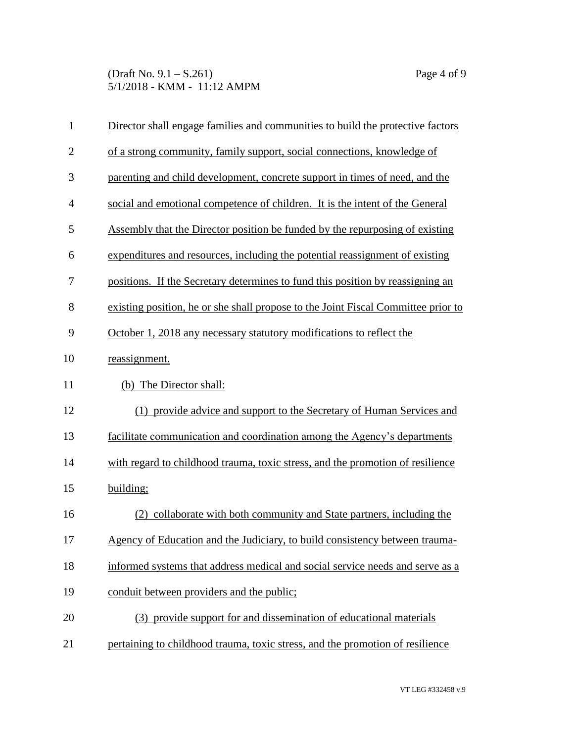(Draft No. 9.1 – S.261) Page 4 of 9 5/1/2018 - KMM - 11:12 AMPM

| $\mathbf{1}$   | Director shall engage families and communities to build the protective factors    |
|----------------|-----------------------------------------------------------------------------------|
| $\mathbf{2}$   | of a strong community, family support, social connections, knowledge of           |
| 3              | parenting and child development, concrete support in times of need, and the       |
| $\overline{4}$ | social and emotional competence of children. It is the intent of the General      |
| 5              | Assembly that the Director position be funded by the repurposing of existing      |
| 6              | expenditures and resources, including the potential reassignment of existing      |
| 7              | positions. If the Secretary determines to fund this position by reassigning an    |
| 8              | existing position, he or she shall propose to the Joint Fiscal Committee prior to |
| 9              | October 1, 2018 any necessary statutory modifications to reflect the              |
| 10             | reassignment.                                                                     |
| 11             | (b) The Director shall:                                                           |
| 12             | (1) provide advice and support to the Secretary of Human Services and             |
| 13             | facilitate communication and coordination among the Agency's departments          |
| 14             | with regard to childhood trauma, toxic stress, and the promotion of resilience    |
| 15             | building;                                                                         |
| 16             | (2) collaborate with both community and State partners, including the             |
| 17             | Agency of Education and the Judiciary, to build consistency between trauma-       |
| 18             | informed systems that address medical and social service needs and serve as a     |
| 19             | conduit between providers and the public;                                         |
| 20             | (3) provide support for and dissemination of educational materials                |
| 21             | pertaining to childhood trauma, toxic stress, and the promotion of resilience     |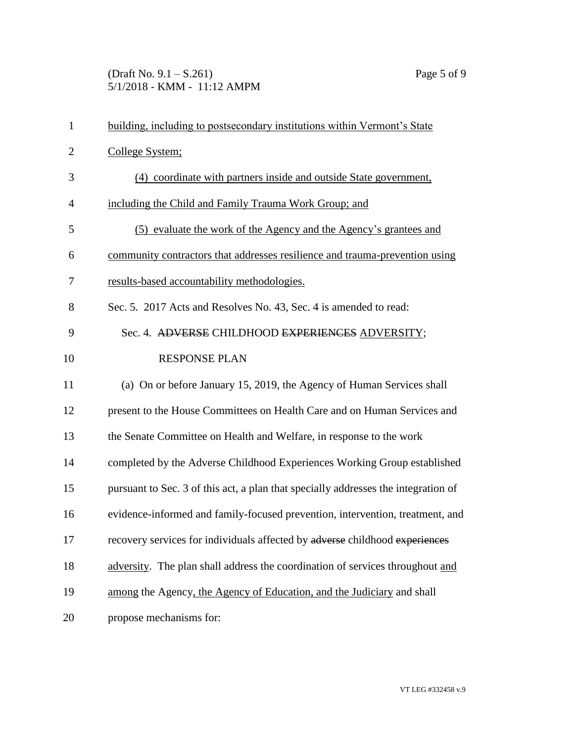(Draft No. 9.1 – S.261) Page 5 of 9 5/1/2018 - KMM - 11:12 AMPM

| $\mathbf{1}$   | building, including to postsecondary institutions within Vermont's State           |
|----------------|------------------------------------------------------------------------------------|
| $\overline{2}$ | College System;                                                                    |
| 3              | (4) coordinate with partners inside and outside State government,                  |
| 4              | including the Child and Family Trauma Work Group; and                              |
| 5              | (5) evaluate the work of the Agency and the Agency's grantees and                  |
| 6              | community contractors that addresses resilience and trauma-prevention using        |
| 7              | results-based accountability methodologies.                                        |
| 8              | Sec. 5. 2017 Acts and Resolves No. 43, Sec. 4 is amended to read:                  |
| 9              | Sec. 4. ADVERSE CHILDHOOD EXPERIENCES ADVERSITY;                                   |
| 10             | <b>RESPONSE PLAN</b>                                                               |
| 11             | (a) On or before January 15, 2019, the Agency of Human Services shall              |
| 12             | present to the House Committees on Health Care and on Human Services and           |
| 13             | the Senate Committee on Health and Welfare, in response to the work                |
| 14             | completed by the Adverse Childhood Experiences Working Group established           |
| 15             | pursuant to Sec. 3 of this act, a plan that specially addresses the integration of |
| 16             | evidence-informed and family-focused prevention, intervention, treatment, and      |
| 17             | recovery services for individuals affected by adverse childhood experiences        |
| 18             | adversity. The plan shall address the coordination of services throughout and      |
| 19             | among the Agency, the Agency of Education, and the Judiciary and shall             |
| 20             | propose mechanisms for:                                                            |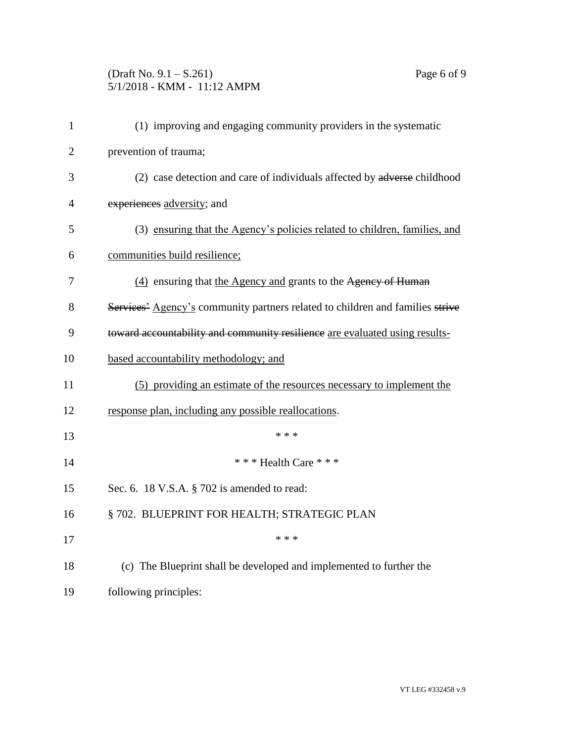## (Draft No. 9.1 – S.261) Page 6 of 9 5/1/2018 - KMM - 11:12 AMPM

| $\mathbf{1}$   | (1) improving and engaging community providers in the systematic                          |
|----------------|-------------------------------------------------------------------------------------------|
| $\overline{2}$ | prevention of trauma;                                                                     |
| 3              | (2) case detection and care of individuals affected by adverse childhood                  |
| $\overline{4}$ | experiences adversity; and                                                                |
| 5              | (3) ensuring that the Agency's policies related to children, families, and                |
| 6              | communities build resilience;                                                             |
| 7              | (4) ensuring that the Agency and grants to the Agency of Human                            |
| 8              | Services <sup>2</sup> Agency's community partners related to children and families strive |
| 9              | toward accountability and community resilience are evaluated using results-               |
| 10             | based accountability methodology; and                                                     |
| 11             | (5) providing an estimate of the resources necessary to implement the                     |
| 12             | response plan, including any possible reallocations.                                      |
| 13             | * * *                                                                                     |
| 14             | *** Health Care ***                                                                       |
| 15             | Sec. 6. 18 V.S.A. § 702 is amended to read:                                               |
| 16             | § 702. BLUEPRINT FOR HEALTH; STRATEGIC PLAN                                               |
| 17             | * * *                                                                                     |
| 18             | (c) The Blueprint shall be developed and implemented to further the                       |
| 19             | following principles:                                                                     |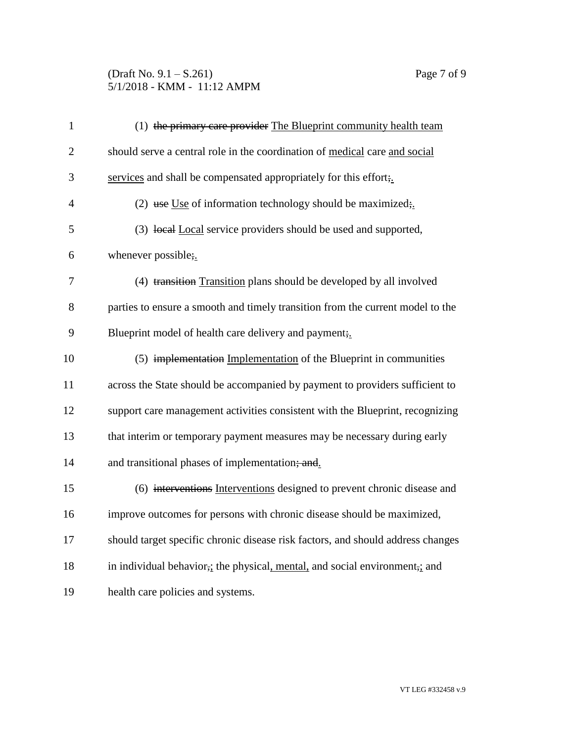## (Draft No. 9.1 – S.261) Page 7 of 9 5/1/2018 - KMM - 11:12 AMPM

| $\mathbf{1}$   | (1) the primary care provider The Blueprint community health team                                     |
|----------------|-------------------------------------------------------------------------------------------------------|
| $\overline{2}$ | should serve a central role in the coordination of medical care and social                            |
| 3              | services and shall be compensated appropriately for this effort;                                      |
| $\overline{4}$ | (2) use Use of information technology should be maximized;                                            |
| 5              | (3) local Local service providers should be used and supported,                                       |
| 6              | whenever possible;                                                                                    |
| 7              | (4) transition Transition plans should be developed by all involved                                   |
| 8              | parties to ensure a smooth and timely transition from the current model to the                        |
| 9              | Blueprint model of health care delivery and payment;                                                  |
| 10             | (5) implementation Implementation of the Blueprint in communities                                     |
| 11             | across the State should be accompanied by payment to providers sufficient to                          |
| 12             | support care management activities consistent with the Blueprint, recognizing                         |
| 13             | that interim or temporary payment measures may be necessary during early                              |
| 14             | and transitional phases of implementation; and                                                        |
| 15             | (6) interventions Interventions designed to prevent chronic disease and                               |
| 16             | improve outcomes for persons with chronic disease should be maximized,                                |
| 17             | should target specific chronic disease risk factors, and should address changes                       |
| 18             | in individual behavior <sub>7</sub> ; the physical, mental, and social environment <sub>7</sub> ; and |
| 19             | health care policies and systems.                                                                     |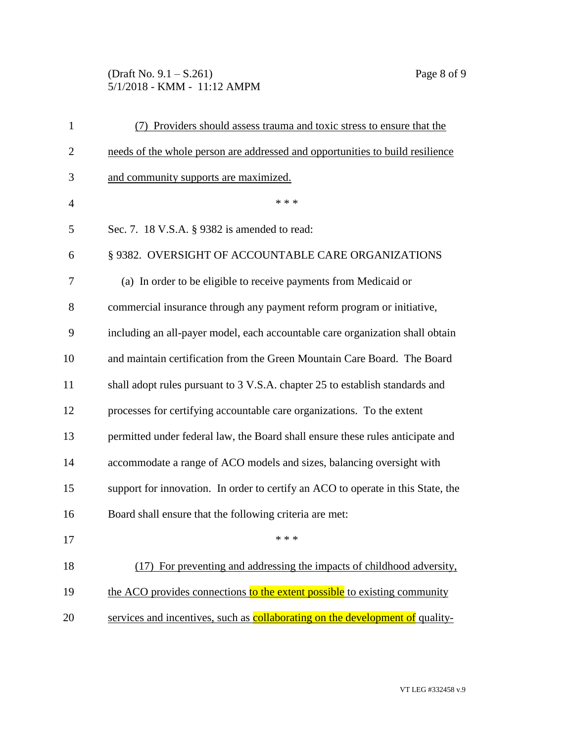(Draft No. 9.1 – S.261) Page 8 of 9 5/1/2018 - KMM - 11:12 AMPM

| $\mathbf{1}$   | (7) Providers should assess trauma and toxic stress to ensure that the           |
|----------------|----------------------------------------------------------------------------------|
| 2              | needs of the whole person are addressed and opportunities to build resilience    |
| 3              | and community supports are maximized.                                            |
| $\overline{4}$ | * * *                                                                            |
| 5              | Sec. 7. 18 V.S.A. § 9382 is amended to read:                                     |
| 6              | § 9382. OVERSIGHT OF ACCOUNTABLE CARE ORGANIZATIONS                              |
| 7              | (a) In order to be eligible to receive payments from Medicaid or                 |
| 8              | commercial insurance through any payment reform program or initiative,           |
| 9              | including an all-payer model, each accountable care organization shall obtain    |
| 10             | and maintain certification from the Green Mountain Care Board. The Board         |
| 11             | shall adopt rules pursuant to 3 V.S.A. chapter 25 to establish standards and     |
| 12             | processes for certifying accountable care organizations. To the extent           |
| 13             | permitted under federal law, the Board shall ensure these rules anticipate and   |
| 14             | accommodate a range of ACO models and sizes, balancing oversight with            |
| 15             | support for innovation. In order to certify an ACO to operate in this State, the |
| 16             | Board shall ensure that the following criteria are met:                          |
| 17             | * * *                                                                            |
| 18             | For preventing and addressing the impacts of childhood adversity,<br>(17)        |
| 19             | the ACO provides connections to the extent possible to existing community        |
| 20             | services and incentives, such as collaborating on the development of quality-    |